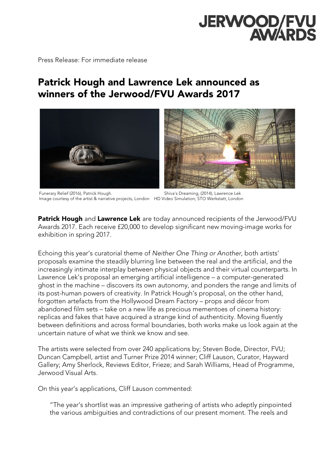# JERWOOD/FVU

Press Release: For immediate release

# Patrick Hough and Lawrence Lek announced as winners of the Jerwood/FVU Awards 2017



Funerary Relief (2016), Patrick Hough. Shiva's Dreaming, (2014), Lawrence Lek Image courtesy of the artist & narrative projects, London HD Video Simulation; STO Werkstatt, London

**Patrick Hough** and Lawrence Lek are today announced recipients of the Jerwood/FVU Awards 2017. Each receive £20,000 to develop significant new moving-image works for exhibition in spring 2017.

Echoing this year's curatorial theme of *Neither One Thing or Another*, both artists' proposals examine the steadily blurring line between the real and the artificial, and the increasingly intimate interplay between physical objects and their virtual counterparts. In Lawrence Lek's proposal an emerging artificial intelligence – a computer-generated ghost in the machine – discovers its own autonomy, and ponders the range and limits of its post-human powers of creativity. In Patrick Hough's proposal, on the other hand, forgotten artefacts from the Hollywood Dream Factory – props and décor from abandoned film sets – take on a new life as precious mementoes of cinema history: replicas and fakes that have acquired a strange kind of authenticity. Moving fluently between definitions and across formal boundaries, both works make us look again at the uncertain nature of what we think we know and see.

The artists were selected from over 240 applications by; Steven Bode, Director, FVU; Duncan Campbell, artist and Turner Prize 2014 winner; Cliff Lauson, Curator, Hayward Gallery; Amy Sherlock, Reviews Editor, Frieze; and Sarah Williams, Head of Programme, Jerwood Visual Arts.

On this year's applications, Cliff Lauson commented:

"The year's shortlist was an impressive gathering of artists who adeptly pinpointed the various ambiguities and contradictions of our present moment. The reels and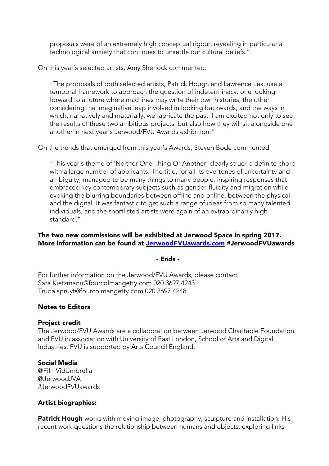proposals were of an extremely high conceptual rigour, revealing in particular a technological anxiety that continues to unsettle our cultural beliefs."

On this year's selected artists, Amy Sherlock commented:

"The proposals of both selected artists, Patrick Hough and Lawrence Lek, use a temporal framework to approach the question of indeterminacy: one looking forward to a future where machines may write their own histories; the other considering the imaginative leap involved in looking backwards, and the ways in which, narratively and materially, we fabricate the past. I am excited not only to see the results of these two ambitious projects, but also how they will sit alongside one another in next year's Jerwood/FVU Awards exhibition."

On the trends that emerged from this year's Awards, Steven Bode commented:

"This year's theme of 'Neither One Thing Or Another' clearly struck a definite chord with a large number of applicants. The title, for all its overtones of uncertainty and ambiguity, managed to be many things to many people, inspiring responses that embraced key contemporary subjects such as gender-fluidity and migration while evoking the blurring boundaries between offline and online, between the physical and the digital. It was fantastic to get such a range of ideas from so many talented individuals, and the shortlisted artists were again of an extraordinarily high standard."

## The two new commissions will be exhibited at Jerwood Space in spring 2017. More information can be found at JerwoodFVUawards.com #JerwoodFVUawards

#### - Ends -

For further information on the Jerwood/FVU Awards, please contact Sara.Kietzmann@fourcolmangetty.com 020 3697 4243 Truda.spruyt@fourcolmangetty.com 020 3697 4248

# Notes to Editors

#### Project credit

The Jerwood/FVU Awards are a collaboration between Jerwood Charitable Foundation and FVU in association with University of East London, School of Arts and Digital Industries. FVU is supported by Arts Council England.

#### Social Media

@FilmVidUmbrella @JerwoodJVA #JerwoodFVUawards

#### Artist biographies:

Patrick Hough works with moving image, photography, sculpture and installation. His recent work questions the relationship between humans and objects; exploring links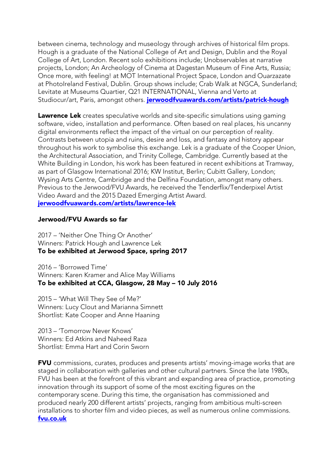between cinema, technology and museology through archives of historical film props. Hough is a graduate of the National College of Art and Design, Dublin and the Royal College of Art, London. Recent solo exhibitions include; Unobservables at narrative projects, London; An Archeology of Cinema at Dagestan Museum of Fine Arts, Russia; Once more, with feeling! at MOT International Project Space, London and Ouarzazate at PhotoIreland Festival, Dublin. Group shows include; Crab Walk at NGCA, Sunderland; Levitate at Museums Quartier, Q21 INTERNATIONAL, Vienna and Verto at Studiocur/art, Paris, amongst others. **jerwoodfvuawards.com/artists/patrick-hough** 

Lawrence Lek creates speculative worlds and site-specific simulations using gaming software, video, installation and performance. Often based on real places, his uncanny digital environments reflect the impact of the virtual on our perception of reality. Contrasts between utopia and ruins, desire and loss, and fantasy and history appear throughout his work to symbolise this exchange. Lek is a graduate of the Cooper Union, the Architectural Association, and Trinity College, Cambridge. Currently based at the White Building in London, his work has been featured in recent exhibitions at Tramway, as part of Glasgow International 2016; KW Institut, Berlin; Cubitt Gallery, London; Wysing Arts Centre, Cambridge and the Delfina Foundation, amongst many others. Previous to the Jerwood/FVU Awards, he received the Tenderflix/Tenderpixel Artist Video Award and the 2015 Dazed Emerging Artist Award. jerwoodfvuawards.com/artists/lawrence-lek

#### Jerwood/FVU Awards so far

2017 – 'Neither One Thing Or Another' Winners: Patrick Hough and Lawrence Lek To be exhibited at Jerwood Space, spring 2017

2016 – 'Borrowed Time' Winners: Karen Kramer and Alice May Williams To be exhibited at CCA, Glasgow, 28 May – 10 July 2016

2015 – 'What Will They See of Me?' Winners: Lucy Clout and Marianna Simnett Shortlist: Kate Cooper and Anne Haaning

2013 – 'Tomorrow Never Knows' Winners: Ed Atkins and Naheed Raza Shortlist: Emma Hart and Corin Sworn

FVU commissions, curates, produces and presents artists' moving-image works that are staged in collaboration with galleries and other cultural partners. Since the late 1980s, FVU has been at the forefront of this vibrant and expanding area of practice, promoting innovation through its support of some of the most exciting figures on the contemporary scene. During this time, the organisation has commissioned and produced nearly 200 different artists' projects, ranging from ambitious multi-screen installations to shorter film and video pieces, as well as numerous online commissions. fvu.co.uk